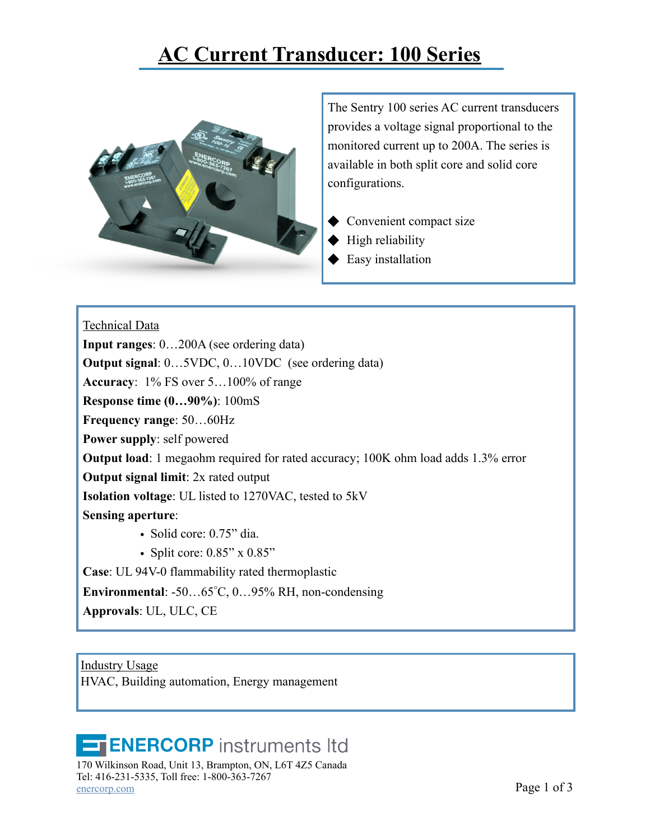## **[AC Current Transducer: 100 Series](https://enercorp.com/products/current/?filter_current=current-transducer)**



The Sentry 100 series AC current transducers provides a voltage signal proportional to the monitored current up to 200A. The series is available in both split core and solid core configurations.

- ◆ Convenient compact size
- $\blacklozenge$  High reliability
- $\blacklozenge$  Easy installation

## Technical Data

**Input ranges**: 0…200A (see ordering data)

**Output signal**: 0…5VDC, 0…10VDC (see ordering data)

**Accuracy**: 1% FS over 5…100% of range

**Response time (0…90%)**: 100mS

**Frequency range**: 50…60Hz

**Power supply**: self powered

**Output load**: 1 megaohm required for rated accuracy; 100K ohm load adds 1.3% error

**Output signal limit**: 2x rated output

**Isolation voltage**: UL listed to 1270VAC, tested to 5kV

**Sensing aperture**:

• Solid core: 0.75" dia.

• Split core: 0.85" x 0.85"

**Case**: UL 94V-0 flammability rated thermoplastic

**Environmental**: -50…65°C, 0…95% RH, non-condensing

**Approvals**: UL, ULC, CE

Industry Usage HVAC, Building automation, Energy management

## **ENERCORP** instruments Itd

170 Wilkinson Road, Unit 13, Brampton, ON, L6T 4Z5 Canada Tel: 416-231-5335, Toll free: 1-800-363-7267  $Page 1 of 3$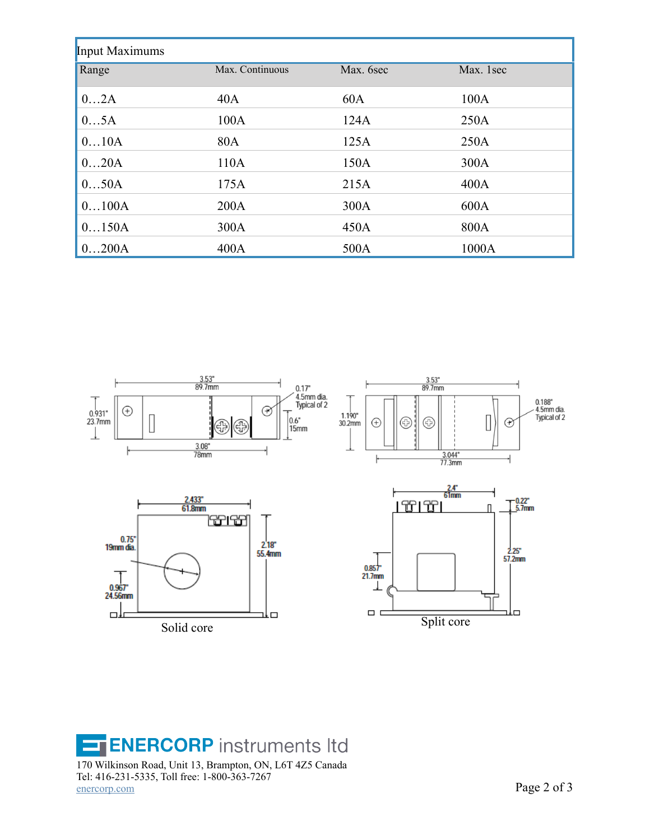| <b>Input Maximums</b> |                 |           |           |  |
|-----------------------|-----------------|-----------|-----------|--|
| Range                 | Max. Continuous | Max. 6sec | Max. 1sec |  |
| 02A                   | 40A             | 60A       | 100A      |  |
| 05A                   | 100A            | 124A      | 250A      |  |
| 010A                  | 80A             | 125A      | 250A      |  |
| 020A                  | 110A            | 150A      | 300A      |  |
| 050A                  | 175A            | 215A      | 400A      |  |
| 0100A                 | 200A            | 300A      | 600A      |  |
| 0150A                 | 300A            | 450A      | 800A      |  |
| 0200A                 | 400A            | 500A      | 1000A     |  |



**ENERCORP** instruments Itd 170 Wilkinson Road, Unit 13, Brampton, ON, L6T 4Z5 Canada Tel: 416-231-5335, Toll free: 1-800-363-7267 [enercorp.com](http://enercorp.com) Page 2 of 3